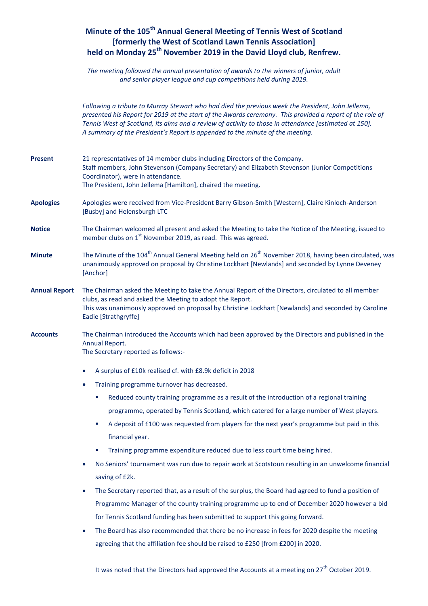# **Minute of the 105 th Annual General Meeting of Tennis West of Scotland [formerly the West of Scotland Lawn Tennis Association] held on Monday 25 th November 2019 in the David Lloyd club, Renfrew.**

*The meeting followed the annual presentation of awards to the winners of junior, adult and senior player league and cup competitions held during 2019.*

*Following a tribute to Murray Stewart who had died the previous week the President, John Jellema, presented his Report for 2019 at the start of the Awards ceremony. This provided a report of the role of Tennis West of Scotland, its aims and a review of activity to those in attendance [estimated at 150]. A summary of the President's Report is appended to the minute of the meeting.*

| <b>Present</b>       | 21 representatives of 14 member clubs including Directors of the Company.<br>Staff members, John Stevenson (Company Secretary) and Elizabeth Stevenson (Junior Competitions<br>Coordinator), were in attendance.<br>The President, John Jellema [Hamilton], chaired the meeting.                |
|----------------------|-------------------------------------------------------------------------------------------------------------------------------------------------------------------------------------------------------------------------------------------------------------------------------------------------|
| <b>Apologies</b>     | Apologies were received from Vice-President Barry Gibson-Smith [Western], Claire Kinloch-Anderson<br>[Busby] and Helensburgh LTC                                                                                                                                                                |
| <b>Notice</b>        | The Chairman welcomed all present and asked the Meeting to take the Notice of the Meeting, issued to<br>member clubs on 1 <sup>st</sup> November 2019, as read. This was agreed.                                                                                                                |
| <b>Minute</b>        | The Minute of the 104 <sup>th</sup> Annual General Meeting held on 26 <sup>th</sup> November 2018, having been circulated, was<br>unanimously approved on proposal by Christine Lockhart [Newlands] and seconded by Lynne Deveney<br>[Anchor]                                                   |
| <b>Annual Report</b> | The Chairman asked the Meeting to take the Annual Report of the Directors, circulated to all member<br>clubs, as read and asked the Meeting to adopt the Report.<br>This was unanimously approved on proposal by Christine Lockhart [Newlands] and seconded by Caroline<br>Eadie [Strathgryffe] |
| <b>Accounts</b>      | The Chairman introduced the Accounts which had been approved by the Directors and published in the<br>Annual Report.<br>The Secretary reported as follows:-                                                                                                                                     |
|                      | A surplus of £10k realised cf. with £8.9k deficit in 2018<br>$\bullet$                                                                                                                                                                                                                          |
|                      | Training programme turnover has decreased.<br>$\bullet$                                                                                                                                                                                                                                         |
|                      | Reduced county training programme as a result of the introduction of a regional training<br>ш                                                                                                                                                                                                   |
|                      | programme, operated by Tennis Scotland, which catered for a large number of West players.                                                                                                                                                                                                       |
|                      | A deposit of £100 was requested from players for the next year's programme but paid in this<br>$\blacksquare$                                                                                                                                                                                   |
|                      | financial year.                                                                                                                                                                                                                                                                                 |
|                      | Training programme expenditure reduced due to less court time being hired.<br>×                                                                                                                                                                                                                 |
|                      | No Seniors' tournament was run due to repair work at Scotstoun resulting in an unwelcome financial<br>$\bullet$                                                                                                                                                                                 |
|                      | saving of £2k.                                                                                                                                                                                                                                                                                  |
|                      | The Secretary reported that, as a result of the surplus, the Board had agreed to fund a position of                                                                                                                                                                                             |

Programme Manager of the county training programme up to end of December 2020 however a bid for Tennis Scotland funding has been submitted to support this going forward.

 The Board has also recommended that there be no increase in fees for 2020 despite the meeting agreeing that the affiliation fee should be raised to £250 [from £200] in 2020.

It was noted that the Directors had approved the Accounts at a meeting on  $27<sup>th</sup>$  October 2019.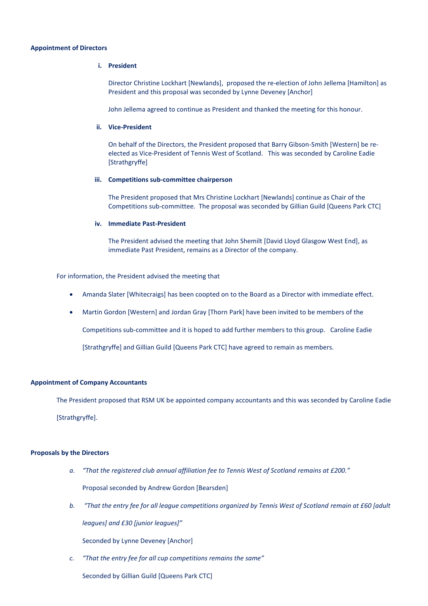#### **Appointment of Directors**

#### **i. President**

Director Christine Lockhart [Newlands], proposed the re-election of John Jellema [Hamilton] as President and this proposal was seconded by Lynne Deveney [Anchor]

John Jellema agreed to continue as President and thanked the meeting for this honour.

#### **ii. Vice-President**

On behalf of the Directors, the President proposed that Barry Gibson-Smith [Western] be reelected as Vice-President of Tennis West of Scotland. This was seconded by Caroline Eadie [Strathgryffe]

#### **iii. Competitions sub-committee chairperson**

The President proposed that Mrs Christine Lockhart [Newlands] continue as Chair of the Competitions sub-committee. The proposal was seconded by Gillian Guild [Queens Park CTC]

#### **iv. Immediate Past-President**

The President advised the meeting that John Shemilt [David Lloyd Glasgow West End], as immediate Past President, remains as a Director of the company.

For information, the President advised the meeting that

- Amanda Slater [Whitecraigs] has been coopted on to the Board as a Director with immediate effect.
- Martin Gordon [Western] and Jordan Gray [Thorn Park] have been invited to be members of the

Competitions sub-committee and it is hoped to add further members to this group. Caroline Eadie

[Strathgryffe] and Gillian Guild [Queens Park CTC] have agreed to remain as members.

### **Appointment of Company Accountants**

The President proposed that RSM UK be appointed company accountants and this was seconded by Caroline Eadie [Strathgryffe].

### **Proposals by the Directors**

- *a. "That the registered club annual affiliation fee to Tennis West of Scotland remains at £200."* Proposal seconded by Andrew Gordon [Bearsden]
- *b. "That the entry fee for all league competitions organized by Tennis West of Scotland remain at £60 [adult leagues] and £30 [junior leagues]"*

Seconded by Lynne Deveney [Anchor]

*c. "That the entry fee for all cup competitions remains the same"*

Seconded by Gillian Guild [Queens Park CTC]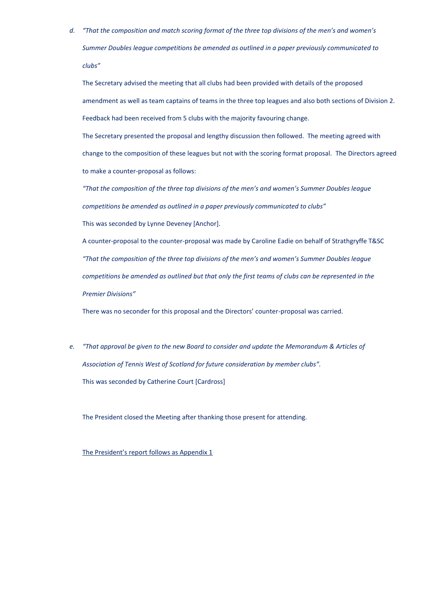*d. "That the composition and match scoring format of the three top divisions of the men's and women's Summer Doubles league competitions be amended as outlined in a paper previously communicated to clubs"*

The Secretary advised the meeting that all clubs had been provided with details of the proposed amendment as well as team captains of teams in the three top leagues and also both sections of Division 2. Feedback had been received from 5 clubs with the majority favouring change.

The Secretary presented the proposal and lengthy discussion then followed. The meeting agreed with change to the composition of these leagues but not with the scoring format proposal. The Directors agreed to make a counter-proposal as follows:

*"That the composition of the three top divisions of the men's and women's Summer Doubles league competitions be amended as outlined in a paper previously communicated to clubs"*

This was seconded by Lynne Deveney [Anchor].

A counter-proposal to the counter-proposal was made by Caroline Eadie on behalf of Strathgryffe T&SC *"That the composition of the three top divisions of the men's and women's Summer Doubles league competitions be amended as outlined but that only the first teams of clubs can be represented in the Premier Divisions"*

There was no seconder for this proposal and the Directors' counter-proposal was carried.

*e. "That approval be given to the new Board to consider and update the Memorandum & Articles of Association of Tennis West of Scotland for future consideration by member clubs".* This was seconded by Catherine Court [Cardross]

The President closed the Meeting after thanking those present for attending.

The President's report follows as Appendix 1